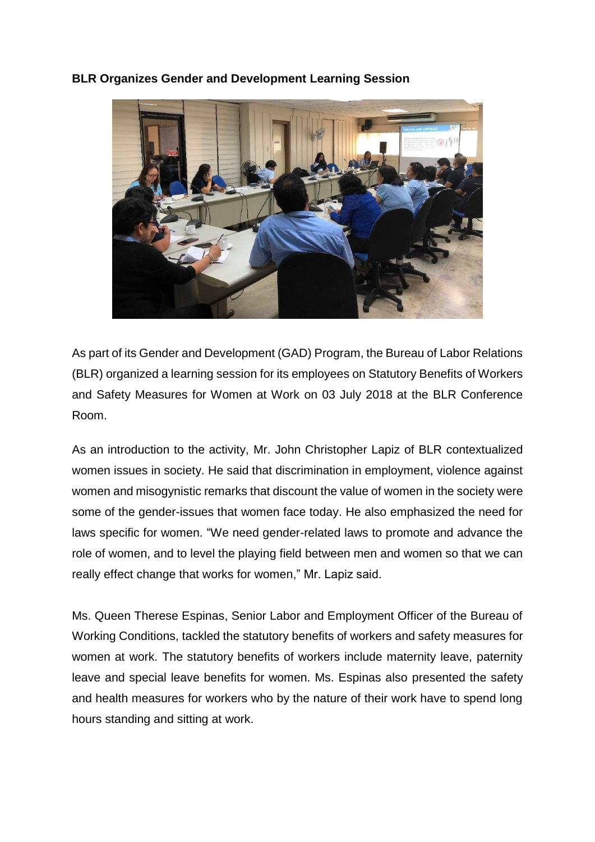

## **BLR Organizes Gender and Development Learning Session**

As part of its Gender and Development (GAD) Program, the Bureau of Labor Relations (BLR) organized a learning session for its employees on Statutory Benefits of Workers and Safety Measures for Women at Work on 03 July 2018 at the BLR Conference Room.

As an introduction to the activity, Mr. John Christopher Lapiz of BLR contextualized women issues in society. He said that discrimination in employment, violence against women and misogynistic remarks that discount the value of women in the society were some of the gender-issues that women face today. He also emphasized the need for laws specific for women. "We need gender-related laws to promote and advance the role of women, and to level the playing field between men and women so that we can really effect change that works for women," Mr. Lapiz said.

Ms. Queen Therese Espinas, Senior Labor and Employment Officer of the Bureau of Working Conditions, tackled the statutory benefits of workers and safety measures for women at work. The statutory benefits of workers include maternity leave, paternity leave and special leave benefits for women. Ms. Espinas also presented the safety and health measures for workers who by the nature of their work have to spend long hours standing and sitting at work.